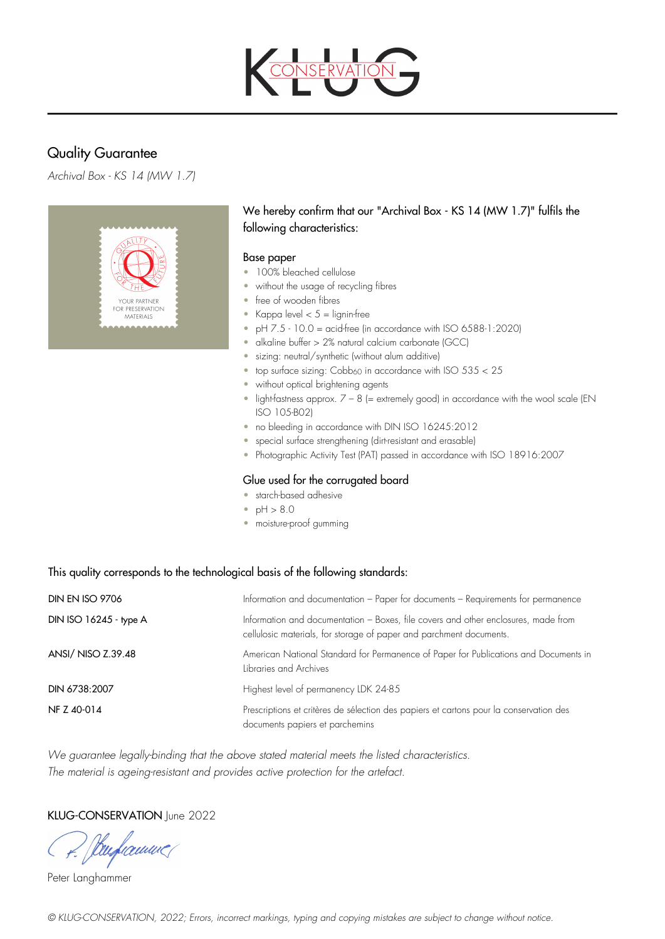

# Quality Guarantee

*Archival Box - KS 14 (MW 1.7)*



# We hereby confirm that our "Archival Box - KS 14 (MW 1.7)" fulfils the following characteristics:

#### Base paper

- 100% bleached cellulose
- without the usage of recycling fibres
- free of wooden fibres
- Kappa level  $< 5 =$  lignin-free
- $\bullet$  pH  $7.5 10.0 =$  acid-free (in accordance with ISO 6588-1:2020)
- alkaline buffer > 2% natural calcium carbonate (GCC)
- sizing: neutral/synthetic (without alum additive)
- top surface sizing:  $Cobb_{60}$  in accordance with ISO  $535 < 25$
- without optical brightening agents
- light-fastness approx.  $7 8$  (= extremely good) in accordance with the wool scale (EN ISO 105-B02)
- no bleeding in accordance with DIN ISO 16245:2012
- special surface strengthening (dirt-resistant and erasable)
- Photographic Activity Test (PAT) passed in accordance with ISO 18916:2007

#### Glue used for the corrugated board

- starch-based adhesive
- $pH > 8.0$
- moisture-proof gumming

## This quality corresponds to the technological basis of the following standards:

| <b>DIN EN ISO 9706</b> | Information and documentation - Paper for documents - Requirements for permanence                                                                         |
|------------------------|-----------------------------------------------------------------------------------------------------------------------------------------------------------|
| DIN ISO 16245 - type A | Information and documentation - Boxes, file covers and other enclosures, made from<br>cellulosic materials, for storage of paper and parchment documents. |
| ANSI/ NISO Z.39.48     | American National Standard for Permanence of Paper for Publications and Documents in<br>Libraries and Archives                                            |
| DIN 6738:2007          | Highest level of permanency LDK 24-85                                                                                                                     |
| NF Z 40-014            | Prescriptions et critères de sélection des papiers et cartons pour la conservation des<br>documents papiers et parchemins                                 |

*We guarantee legally-binding that the above stated material meets the listed characteristics. The material is ageing-resistant and provides active protection for the artefact.*

## KLUG-CONSERVATION June 2022

( P. Sturframmer

Peter Langhammer